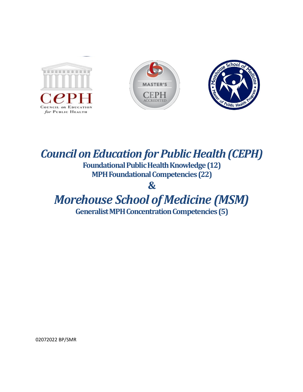





## **Council on Education for Public Health (CEPH) Foundational Public Health Knowledge (12) MPHFoundationalCompetencies(22) &** *Morehouse School of Medicine (MSM)*

Generalist MPH Concentration Competencies (5)

02072022 BP/SMR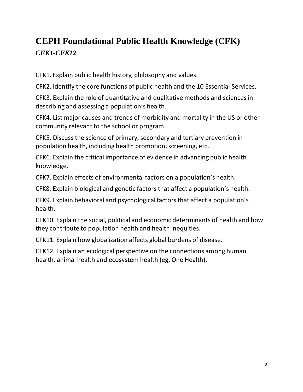## **CEPH Foundational Public Health Knowledge (CFK)** *CFK1-CFK12*

CFK1. Explain public health history, philosophy and values.

CFK2. Identify the core functions of public health and the 10 Essential Services.

CFK3. Explain the role of quantitative and qualitative methods and sciences in describing and assessing a population's health.

CFK4. List major causes and trends of morbidity and mortality in the US or other community relevant to the school or program.

CFK5. Discuss the science of primary,secondary and tertiary prevention in population health, including health promotion, screening, etc.

CFK6. Explain the critical importance of evidence in advancing public health knowledge.

CFK7. Explain effects of environmental factors on a population's health.

CFK8. Explain biological and genetic factors that affect a population's health.

CFK9. Explain behavioral and psychological factors that affect a population's health.

CFK10. Explain the social, political and economic determinants of health and how they contribute to population health and health inequities.

CFK11. Explain how globalization affects global burdens of disease.

CFK12. Explain an ecological perspective on the connections among human health, animal health and ecosystem health (eg, One Health).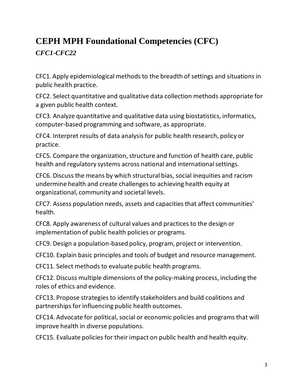## **CEPH MPH Foundational Competencies (CFC)**

*CFC1-CFC22*

CFC1. Apply epidemiological methodsto the breadth of settings and situationsin public health practice.

CFC2. Select quantitative and qualitative data collection methods appropriate for a given public health context.

CFC3. Analyze quantitative and qualitative data using biostatistics, informatics, computer-based programming and software, as appropriate.

CFC4. Interpret results of data analysis for public health research, policy or practice.

CFC5. Compare the organization, structure and function of health care, public health and regulatory systems across national and international settings.

CFC6. Discuss the means by which structural bias, social inequities and racism undermine health and create challengesto achieving health equity at organizational, community and societal levels.

CFC7. Assess population needs, assets and capacities that affect communities' health.

CFC8. Apply awareness of cultural values and practices to the design or implementation of public health policies or programs.

CFC9. Design a population-based policy, program, project or intervention.

CFC10. Explain basic principles and tools of budget and resource management.

CFC11. Select methods to evaluate public health programs.

CFC12. Discuss multiple dimensions of the policy-making process, including the roles of ethics and evidence.

CFC13. Propose strategiesto identify stakeholders and build coalitions and partnerships for influencing public health outcomes.

CFC14. Advocate for political, social or economic policies and programs that will improve health in diverse populations.

CFC15. Evaluate policies for their impact on public health and health equity.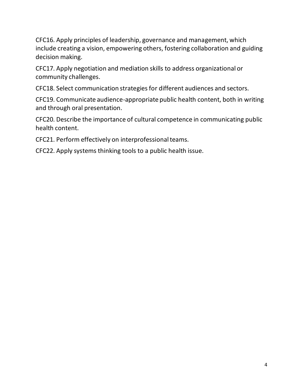CFC16. Apply principles of leadership, governance and management, which include creating a vision, empowering others, fostering collaboration and guiding decision making.

CFC17. Apply negotiation and mediation skills to address organizational or community challenges.

CFC18. Select communication strategies for different audiences and sectors.

CFC19. Communicate audience-appropriate public health content, both in writing and through oral presentation.

CFC20. Describe the importance of cultural competence in communicating public health content.

CFC21. Perform effectively on interprofessional teams.

CFC22. Apply systems thinking tools to a public health issue.